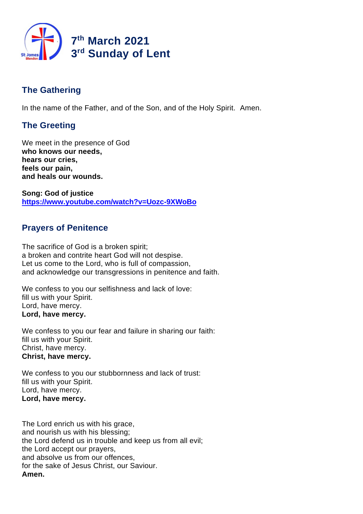

# **The Gathering**

In the name of the Father, and of the Son, and of the Holy Spirit. Amen.

# **The Greeting**

We meet in the presence of God **who knows our needs, hears our cries, feels our pain, and heals our wounds.**

**Song: God of justice <https://www.youtube.com/watch?v=Uozc-9XWoBo>**

# **Prayers of Penitence**

The sacrifice of God is a broken spirit; a broken and contrite heart God will not despise. Let us come to the Lord, who is full of compassion, and acknowledge our transgressions in penitence and faith.

We confess to you our selfishness and lack of love: fill us with your Spirit. Lord, have mercy. **Lord, have mercy.**

We confess to you our fear and failure in sharing our faith: fill us with your Spirit. Christ, have mercy. **Christ, have mercy.**

We confess to you our stubbornness and lack of trust: fill us with your Spirit. Lord, have mercy. **Lord, have mercy.**

The Lord enrich us with his grace, and nourish us with his blessing; the Lord defend us in trouble and keep us from all evil; the Lord accept our prayers, and absolve us from our offences, for the sake of Jesus Christ, our Saviour. **Amen.**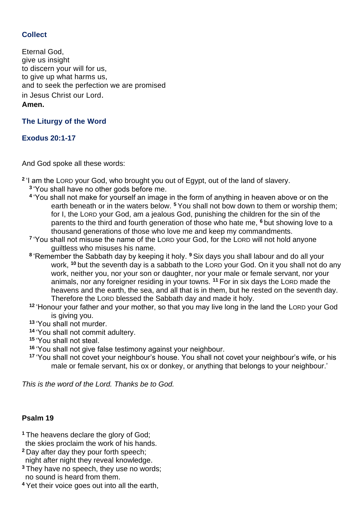## **Collect**

Eternal God, give us insight to discern your will for us, to give up what harms us, and to seek the perfection we are promised in Jesus Christ our Lord. **Amen.**

## **The Liturgy of the Word**

## **Exodus 20:1-17**

And God spoke all these words:

**2** 'I am the LORD your God, who brought you out of Egypt, out of the land of slavery.

- **3** 'You shall have no other gods before me.
- **4** 'You shall not make for yourself an image in the form of anything in heaven above or on the earth beneath or in the waters below. **<sup>5</sup>** You shall not bow down to them or worship them; for I, the LORD your God, am a jealous God, punishing the children for the sin of the parents to the third and fourth generation of those who hate me, **<sup>6</sup>** but showing love to a thousand generations of those who love me and keep my commandments.
- <sup>7</sup> 'You shall not misuse the name of the LORD your God, for the LORD will not hold anyone guiltless who misuses his name.
- **8** 'Remember the Sabbath day by keeping it holy. **<sup>9</sup>** Six days you shall labour and do all your work, **<sup>10</sup>** but the seventh day is a sabbath to the LORD your God. On it you shall not do any work, neither you, nor your son or daughter, nor your male or female servant, nor your animals, nor any foreigner residing in your towns. **<sup>11</sup>** For in six days the LORD made the heavens and the earth, the sea, and all that is in them, but he rested on the seventh day. Therefore the LORD blessed the Sabbath day and made it holy.
- **<sup>12</sup>** 'Honour your father and your mother, so that you may live long in the land the LORD your God is giving you.
- **<sup>13</sup>** 'You shall not murder.
- **<sup>14</sup>** 'You shall not commit adultery.
- **<sup>15</sup>** 'You shall not steal.
- **<sup>16</sup>** 'You shall not give false testimony against your neighbour.
- **<sup>17</sup>** 'You shall not covet your neighbour's house. You shall not covet your neighbour's wife, or his male or female servant, his ox or donkey, or anything that belongs to your neighbour.'

*This is the word of the Lord. Thanks be to God.*

## **Psalm 19**

- **<sup>1</sup>** The heavens declare the glory of God; the skies proclaim the work of his hands.
- **<sup>2</sup>** Day after day they pour forth speech; night after night they reveal knowledge.
- **<sup>3</sup>** They have no speech, they use no words;
- no sound is heard from them.
- **<sup>4</sup>** Yet their voice goes out into all the earth,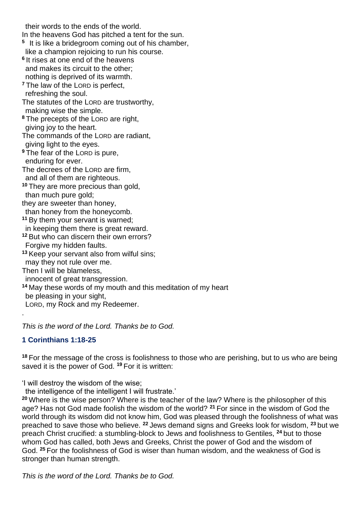their words to the ends of the world.

In the heavens God has pitched a tent for the sun.

- **5** It is like a bridegroom coming out of his chamber, like a champion rejoicing to run his course.
- **6** It rises at one end of the heavens and makes its circuit to the other; nothing is deprived of its warmth.
- **<sup>7</sup>** The law of the LORD is perfect,
- refreshing the soul.
- The statutes of the LORD are trustworthy, making wise the simple.
- **<sup>8</sup>** The precepts of the LORD are right, giving joy to the heart.
- The commands of the LORD are radiant, giving light to the eyes.
- **<sup>9</sup>** The fear of the LORD is pure, enduring for ever.
- The decrees of the LORD are firm,
- and all of them are righteous.
- **<sup>10</sup>** They are more precious than gold, than much pure gold;
- they are sweeter than honey,
- than honey from the honeycomb.
- **<sup>11</sup>** By them your servant is warned;
- in keeping them there is great reward.
- **<sup>12</sup>** But who can discern their own errors?
- Forgive my hidden faults.
- **<sup>13</sup>** Keep your servant also from wilful sins;
- may they not rule over me.
- Then I will be blameless,
- innocent of great transgression.
- **<sup>14</sup>** May these words of my mouth and this meditation of my heart
- be pleasing in your sight,
- LORD, my Rock and my Redeemer.

*This is the word of the Lord. Thanks be to God.*

## **1 Corinthians 1:18-25**

.

**<sup>18</sup>** For the message of the cross is foolishness to those who are perishing, but to us who are being saved it is the power of God. **<sup>19</sup>** For it is written:

'I will destroy the wisdom of the wise;

the intelligence of the intelligent I will frustrate.'

**<sup>20</sup>** Where is the wise person? Where is the teacher of the law? Where is the philosopher of this age? Has not God made foolish the wisdom of the world? **<sup>21</sup>** For since in the wisdom of God the world through its wisdom did not know him, God was pleased through the foolishness of what was preached to save those who believe. **<sup>22</sup>** Jews demand signs and Greeks look for wisdom, **<sup>23</sup>** but we preach Christ crucified: a stumbling-block to Jews and foolishness to Gentiles, **<sup>24</sup>** but to those whom God has called, both Jews and Greeks, Christ the power of God and the wisdom of God. **<sup>25</sup>** For the foolishness of God is wiser than human wisdom, and the weakness of God is stronger than human strength.

*This is the word of the Lord. Thanks be to God.*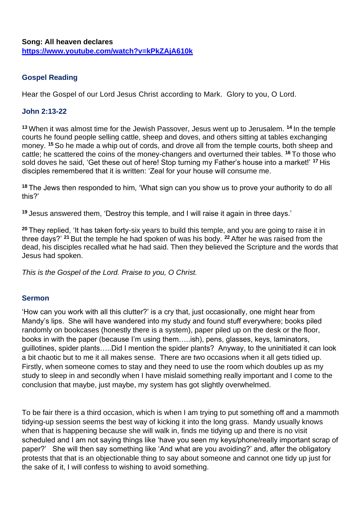## **Gospel Reading**

Hear the Gospel of our Lord Jesus Christ according to Mark. Glory to you, O Lord.

## **John 2:13-22**

**<sup>13</sup>** When it was almost time for the Jewish Passover, Jesus went up to Jerusalem. **<sup>14</sup>** In the temple courts he found people selling cattle, sheep and doves, and others sitting at tables exchanging money. **<sup>15</sup>** So he made a whip out of cords, and drove all from the temple courts, both sheep and cattle; he scattered the coins of the money-changers and overturned their tables. **<sup>16</sup>** To those who sold doves he said, 'Get these out of here! Stop turning my Father's house into a market!' **<sup>17</sup>** His disciples remembered that it is written: 'Zeal for your house will consume me.

**<sup>18</sup>** The Jews then responded to him, 'What sign can you show us to prove your authority to do all this?'

**<sup>19</sup>** Jesus answered them, 'Destroy this temple, and I will raise it again in three days.'

**<sup>20</sup>** They replied, 'It has taken forty-six years to build this temple, and you are going to raise it in three days?' **<sup>21</sup>** But the temple he had spoken of was his body. **<sup>22</sup>** After he was raised from the dead, his disciples recalled what he had said. Then they believed the Scripture and the words that Jesus had spoken.

*This is the Gospel of the Lord. Praise to you, O Christ.*

## **Sermon**

'How can you work with all this clutter?' is a cry that, just occasionally, one might hear from Mandy's lips. She will have wandered into my study and found stuff everywhere; books piled randomly on bookcases (honestly there is a system), paper piled up on the desk or the floor, books in with the paper (because I'm using them…..ish), pens, glasses, keys, laminators, guillotines, spider plants…..Did I mention the spider plants? Anyway, to the uninitiated it can look a bit chaotic but to me it all makes sense. There are two occasions when it all gets tidied up. Firstly, when someone comes to stay and they need to use the room which doubles up as my study to sleep in and secondly when I have mislaid something really important and I come to the conclusion that maybe, just maybe, my system has got slightly overwhelmed.

To be fair there is a third occasion, which is when I am trying to put something off and a mammoth tidying-up session seems the best way of kicking it into the long grass. Mandy usually knows when that is happening because she will walk in, finds me tidying up and there is no visit scheduled and I am not saying things like 'have you seen my keys/phone/really important scrap of paper?' She will then say something like 'And what are you avoiding?' and, after the obligatory protests that that is an objectionable thing to say about someone and cannot one tidy up just for the sake of it, I will confess to wishing to avoid something.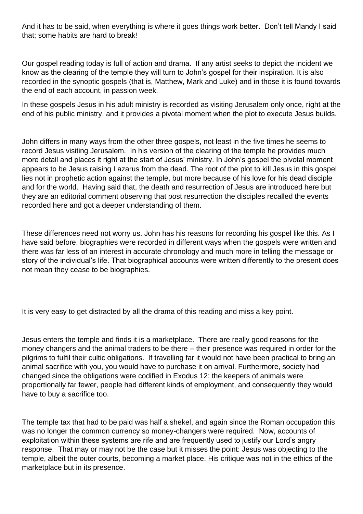And it has to be said, when everything is where it goes things work better. Don't tell Mandy I said that; some habits are hard to break!

Our gospel reading today is full of action and drama. If any artist seeks to depict the incident we know as the clearing of the temple they will turn to John's gospel for their inspiration. It is also recorded in the synoptic gospels (that is, Matthew, Mark and Luke) and in those it is found towards the end of each account, in passion week.

In these gospels Jesus in his adult ministry is recorded as visiting Jerusalem only once, right at the end of his public ministry, and it provides a pivotal moment when the plot to execute Jesus builds.

John differs in many ways from the other three gospels, not least in the five times he seems to record Jesus visiting Jerusalem. In his version of the clearing of the temple he provides much more detail and places it right at the start of Jesus' ministry. In John's gospel the pivotal moment appears to be Jesus raising Lazarus from the dead. The root of the plot to kill Jesus in this gospel lies not in prophetic action against the temple, but more because of his love for his dead disciple and for the world. Having said that, the death and resurrection of Jesus are introduced here but they are an editorial comment observing that post resurrection the disciples recalled the events recorded here and got a deeper understanding of them.

These differences need not worry us. John has his reasons for recording his gospel like this. As I have said before, biographies were recorded in different ways when the gospels were written and there was far less of an interest in accurate chronology and much more in telling the message or story of the individual's life. That biographical accounts were written differently to the present does not mean they cease to be biographies.

It is very easy to get distracted by all the drama of this reading and miss a key point.

Jesus enters the temple and finds it is a marketplace. There are really good reasons for the money changers and the animal traders to be there – their presence was required in order for the pilgrims to fulfil their cultic obligations. If travelling far it would not have been practical to bring an animal sacrifice with you, you would have to purchase it on arrival. Furthermore, society had changed since the obligations were codified in Exodus 12: the keepers of animals were proportionally far fewer, people had different kinds of employment, and consequently they would have to buy a sacrifice too.

The temple tax that had to be paid was half a shekel, and again since the Roman occupation this was no longer the common currency so money-changers were required. Now, accounts of exploitation within these systems are rife and are frequently used to justify our Lord's angry response. That may or may not be the case but it misses the point: Jesus was objecting to the temple, albeit the outer courts, becoming a market place. His critique was not in the ethics of the marketplace but in its presence.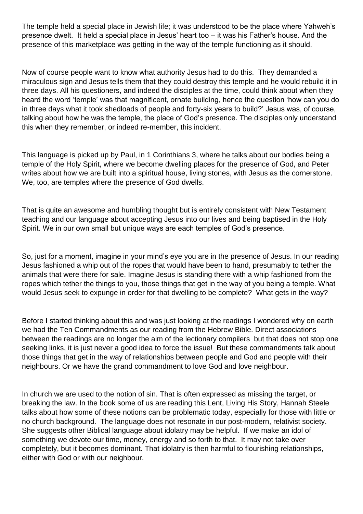The temple held a special place in Jewish life; it was understood to be the place where Yahweh's presence dwelt. It held a special place in Jesus' heart too – it was his Father's house. And the presence of this marketplace was getting in the way of the temple functioning as it should.

Now of course people want to know what authority Jesus had to do this. They demanded a miraculous sign and Jesus tells them that they could destroy this temple and he would rebuild it in three days. All his questioners, and indeed the disciples at the time, could think about when they heard the word 'temple' was that magnificent, ornate building, hence the question 'how can you do in three days what it took shedloads of people and forty-six years to build?' Jesus was, of course, talking about how he was the temple, the place of God's presence. The disciples only understand this when they remember, or indeed re-member, this incident.

This language is picked up by Paul, in 1 Corinthians 3, where he talks about our bodies being a temple of the Holy Spirit, where we become dwelling places for the presence of God, and Peter writes about how we are built into a spiritual house, living stones, with Jesus as the cornerstone. We, too, are temples where the presence of God dwells.

That is quite an awesome and humbling thought but is entirely consistent with New Testament teaching and our language about accepting Jesus into our lives and being baptised in the Holy Spirit. We in our own small but unique ways are each temples of God's presence.

So, just for a moment, imagine in your mind's eye you are in the presence of Jesus. In our reading Jesus fashioned a whip out of the ropes that would have been to hand, presumably to tether the animals that were there for sale. Imagine Jesus is standing there with a whip fashioned from the ropes which tether the things to you, those things that get in the way of you being a temple. What would Jesus seek to expunge in order for that dwelling to be complete? What gets in the way?

Before I started thinking about this and was just looking at the readings I wondered why on earth we had the Ten Commandments as our reading from the Hebrew Bible. Direct associations between the readings are no longer the aim of the lectionary compilers but that does not stop one seeking links, it is just never a good idea to force the issue! But these commandments talk about those things that get in the way of relationships between people and God and people with their neighbours. Or we have the grand commandment to love God and love neighbour.

In church we are used to the notion of sin. That is often expressed as missing the target, or breaking the law. In the book some of us are reading this Lent, Living His Story, Hannah Steele talks about how some of these notions can be problematic today, especially for those with little or no church background. The language does not resonate in our post-modern, relativist society. She suggests other Biblical language about idolatry may be helpful. If we make an idol of something we devote our time, money, energy and so forth to that. It may not take over completely, but it becomes dominant. That idolatry is then harmful to flourishing relationships, either with God or with our neighbour.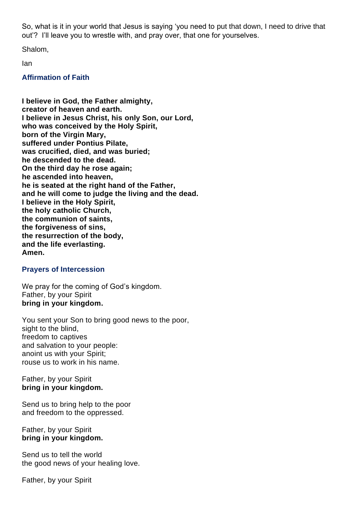So, what is it in your world that Jesus is saying 'you need to put that down, I need to drive that out'? I'll leave you to wrestle with, and pray over, that one for yourselves.

Shalom,

Ian

### **Affirmation of Faith**

**I believe in God, the Father almighty, creator of heaven and earth. I believe in Jesus Christ, his only Son, our Lord, who was conceived by the Holy Spirit, born of the Virgin Mary, suffered under Pontius Pilate, was crucified, died, and was buried; he descended to the dead. On the third day he rose again; he ascended into heaven, he is seated at the right hand of the Father, and he will come to judge the living and the dead. I believe in the Holy Spirit, the holy catholic Church, the communion of saints, the forgiveness of sins, the resurrection of the body, and the life everlasting. Amen.**

### **Prayers of Intercession**

We pray for the coming of God's kingdom. Father, by your Spirit **bring in your kingdom.**

You sent your Son to bring good news to the poor, sight to the blind. freedom to captives and salvation to your people: anoint us with your Spirit; rouse us to work in his name.

#### Father, by your Spirit **bring in your kingdom.**

Send us to bring help to the poor and freedom to the oppressed.

### Father, by your Spirit **bring in your kingdom.**

Send us to tell the world the good news of your healing love.

Father, by your Spirit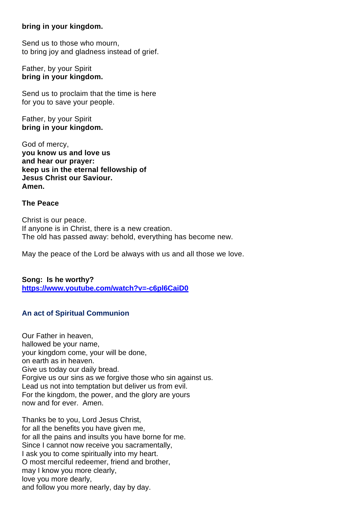### **bring in your kingdom.**

Send us to those who mourn, to bring joy and gladness instead of grief.

Father, by your Spirit **bring in your kingdom.**

Send us to proclaim that the time is here for you to save your people.

Father, by your Spirit **bring in your kingdom.**

God of mercy, **you know us and love us and hear our prayer: keep us in the eternal fellowship of Jesus Christ our Saviour. Amen.**

#### **The Peace**

Christ is our peace. If anyone is in Christ, there is a new creation. The old has passed away: behold, everything has become new.

May the peace of the Lord be always with us and all those we love.

**Song: Is he worthy? <https://www.youtube.com/watch?v=-c6pl6CaiD0>**

### **An act of Spiritual Communion**

Our Father in heaven, hallowed be your name, your kingdom come, your will be done, on earth as in heaven. Give us today our daily bread. Forgive us our sins as we forgive those who sin against us. Lead us not into temptation but deliver us from evil. For the kingdom, the power, and the glory are yours now and for ever. Amen.

Thanks be to you, Lord Jesus Christ, for all the benefits you have given me, for all the pains and insults you have borne for me. Since I cannot now receive you sacramentally, I ask you to come spiritually into my heart. O most merciful redeemer, friend and brother, may I know you more clearly, love you more dearly, and follow you more nearly, day by day.